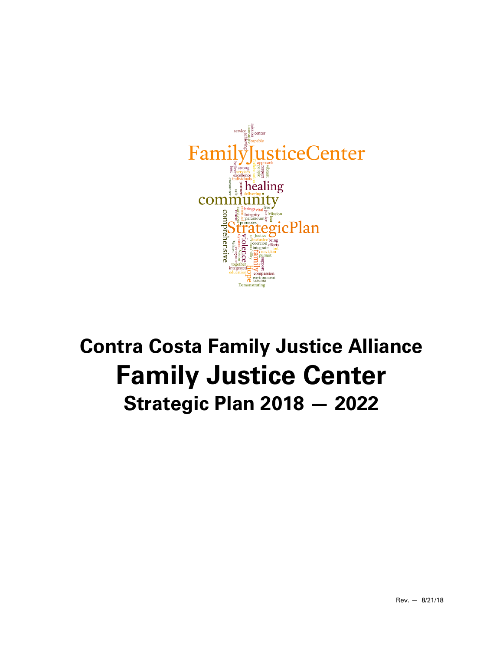

# **Contra Costa Family Justice Alliance Family Justice Center Strategic Plan 2018 — 2022**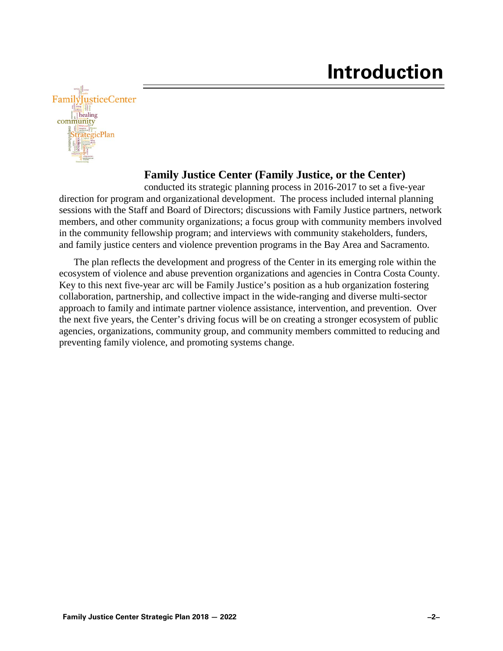

#### **Family Justice Center (Family Justice, or the Center)**

conducted its strategic planning process in 2016-2017 to set a five-year direction for program and organizational development. The process included internal planning sessions with the Staff and Board of Directors; discussions with Family Justice partners, network members, and other community organizations; a focus group with community members involved in the community fellowship program; and interviews with community stakeholders, funders, and family justice centers and violence prevention programs in the Bay Area and Sacramento.

The plan reflects the development and progress of the Center in its emerging role within the ecosystem of violence and abuse prevention organizations and agencies in Contra Costa County. Key to this next five-year arc will be Family Justice's position as a hub organization fostering collaboration, partnership, and collective impact in the wide-ranging and diverse multi-sector approach to family and intimate partner violence assistance, intervention, and prevention. Over the next five years, the Center's driving focus will be on creating a stronger ecosystem of public agencies, organizations, community group, and community members committed to reducing and preventing family violence, and promoting systems change.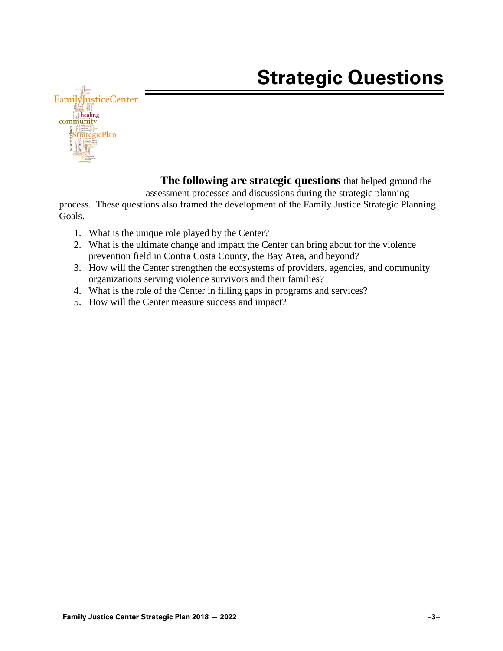## **Strategic Questions**



**The following are strategic questions** that helped ground the assessment processes and discussions during the strategic planning

process. These questions also framed the development of the Family Justice Strategic Planning Goals.

- 1. What is the unique role played by the Center?
- 2. What is the ultimate change and impact the Center can bring about for the violence prevention field in Contra Costa County, the Bay Area, and beyond?
- 3. How will the Center strengthen the ecosystems of providers, agencies, and community organizations serving violence survivors and their families?
- 4. What is the role of the Center in filling gaps in programs and services?
- 5. How will the Center measure success and impact?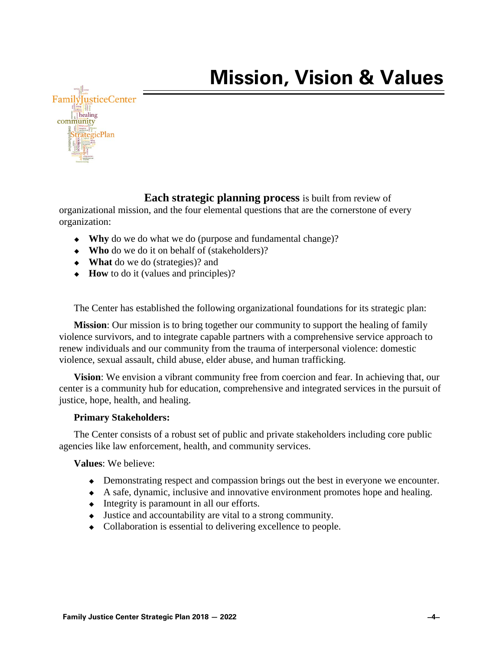

#### **Each strategic planning process** is built from review of

organizational mission, and the four elemental questions that are the cornerstone of every organization:

- **Why** do we do what we do (purpose and fundamental change)?
- **Who** do we do it on behalf of (stakeholders)?
- **What** do we do (strategies)? and
- ◆ **How** to do it (values and principles)?

The Center has established the following organizational foundations for its strategic plan:

**Mission**: Our mission is to bring together our community to support the healing of family violence survivors, and to integrate capable partners with a comprehensive service approach to renew individuals and our community from the trauma of interpersonal violence: domestic violence, sexual assault, child abuse, elder abuse, and human trafficking.

**Vision**: We envision a vibrant community free from coercion and fear. In achieving that, our center is a community hub for education, comprehensive and integrated services in the pursuit of justice, hope, health, and healing.

#### **Primary Stakeholders:**

The Center consists of a robust set of public and private stakeholders including core public agencies like law enforcement, health, and community services.

**Values**: We believe:

- Demonstrating respect and compassion brings out the best in everyone we encounter.
- A safe, dynamic, inclusive and innovative environment promotes hope and healing.
- $\bullet$  Integrity is paramount in all our efforts.
- Justice and accountability are vital to a strong community.
- Collaboration is essential to delivering excellence to people.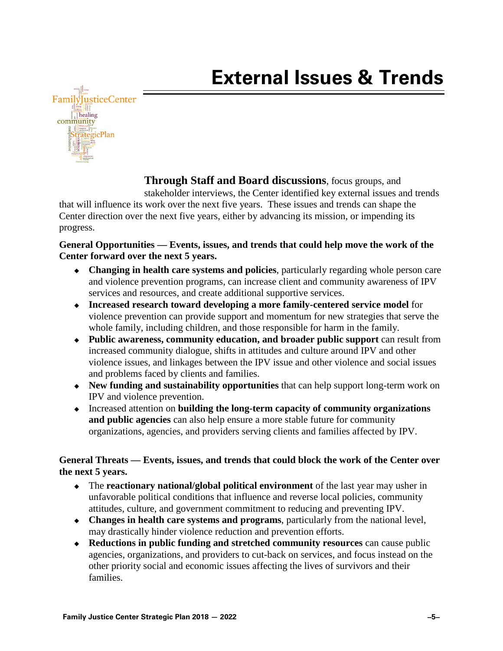

**Through Staff and Board discussions**, focus groups, and stakeholder interviews, the Center identified key external issues and trends that will influence its work over the next five years. These issues and trends can shape the Center direction over the next five years, either by advancing its mission, or impending its progress.

#### **General Opportunities — Events, issues, and trends that could help move the work of the Center forward over the next 5 years.**

- **Changing in health care systems and policies**, particularly regarding whole person care and violence prevention programs, can increase client and community awareness of IPV services and resources, and create additional supportive services.
- **Increased research toward developing a more family-centered service model** for violence prevention can provide support and momentum for new strategies that serve the whole family, including children, and those responsible for harm in the family.
- **Public awareness, community education, and broader public support** can result from increased community dialogue, shifts in attitudes and culture around IPV and other violence issues, and linkages between the IPV issue and other violence and social issues and problems faced by clients and families.
- **New funding and sustainability opportunities** that can help support long-term work on IPV and violence prevention.
- Increased attention on **building the long-term capacity of community organizations and public agencies** can also help ensure a more stable future for community organizations, agencies, and providers serving clients and families affected by IPV.

#### **General Threats — Events, issues, and trends that could block the work of the Center over the next 5 years.**

- The **reactionary national/global political environment** of the last year may usher in unfavorable political conditions that influence and reverse local policies, community attitudes, culture, and government commitment to reducing and preventing IPV.
- **Changes in health care systems and programs**, particularly from the national level, may drastically hinder violence reduction and prevention efforts.
- **Reductions in public funding and stretched community resources** can cause public agencies, organizations, and providers to cut-back on services, and focus instead on the other priority social and economic issues affecting the lives of survivors and their families.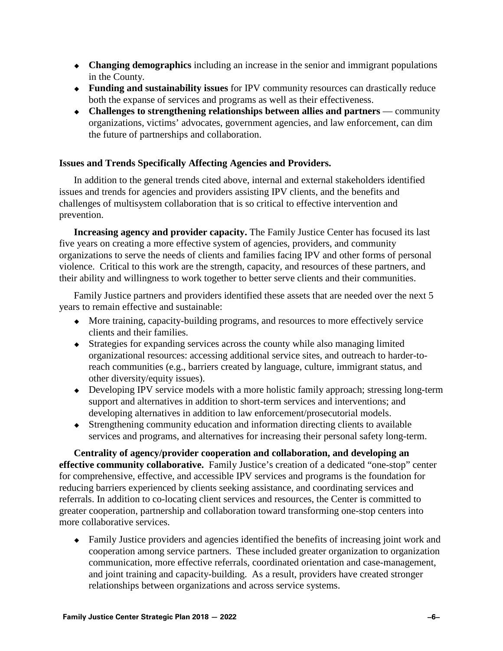- **Changing demographics** including an increase in the senior and immigrant populations in the County.
- **Funding and sustainability issues** for IPV community resources can drastically reduce both the expanse of services and programs as well as their effectiveness.
- **Challenges to strengthening relationships between allies and partners** community organizations, victims' advocates, government agencies, and law enforcement, can dim the future of partnerships and collaboration.

#### **Issues and Trends Specifically Affecting Agencies and Providers.**

In addition to the general trends cited above, internal and external stakeholders identified issues and trends for agencies and providers assisting IPV clients, and the benefits and challenges of multisystem collaboration that is so critical to effective intervention and prevention.

**Increasing agency and provider capacity.** The Family Justice Center has focused its last five years on creating a more effective system of agencies, providers, and community organizations to serve the needs of clients and families facing IPV and other forms of personal violence. Critical to this work are the strength, capacity, and resources of these partners, and their ability and willingness to work together to better serve clients and their communities.

Family Justice partners and providers identified these assets that are needed over the next 5 years to remain effective and sustainable:

- More training, capacity-building programs, and resources to more effectively service clients and their families.
- Strategies for expanding services across the county while also managing limited organizational resources: accessing additional service sites, and outreach to harder-toreach communities (e.g., barriers created by language, culture, immigrant status, and other diversity/equity issues).
- Developing IPV service models with a more holistic family approach; stressing long-term support and alternatives in addition to short-term services and interventions; and developing alternatives in addition to law enforcement/prosecutorial models.
- Strengthening community education and information directing clients to available services and programs, and alternatives for increasing their personal safety long-term.

**Centrality of agency/provider cooperation and collaboration, and developing an effective community collaborative.** Family Justice's creation of a dedicated "one-stop" center for comprehensive, effective, and accessible IPV services and programs is the foundation for reducing barriers experienced by clients seeking assistance, and coordinating services and referrals. In addition to co-locating client services and resources, the Center is committed to greater cooperation, partnership and collaboration toward transforming one-stop centers into more collaborative services.

 Family Justice providers and agencies identified the benefits of increasing joint work and cooperation among service partners. These included greater organization to organization communication, more effective referrals, coordinated orientation and case-management, and joint training and capacity-building. As a result, providers have created stronger relationships between organizations and across service systems.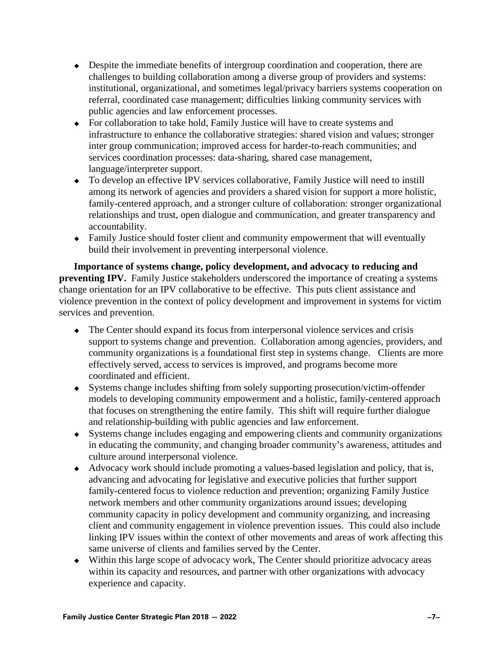- Despite the immediate benefits of intergroup coordination and cooperation, there are challenges to building collaboration among a diverse group of providers and systems: institutional, organizational, and sometimes legal/privacy barriers systems cooperation on referral, coordinated case management; difficulties linking community services with public agencies and law enforcement processes.
- For collaboration to take hold, Family Justice will have to create systems and infrastructure to enhance the collaborative strategies: shared vision and values; stronger inter group communication; improved access for harder-to-reach communities; and services coordination processes: data-sharing, shared case management, language/interpreter support.
- To develop an effective IPV services collaborative, Family Justice will need to instill among its network of agencies and providers a shared vision for support a more holistic, family-centered approach, and a stronger culture of collaboration: stronger organizational relationships and trust, open dialogue and communication, and greater transparency and accountability.
- Family Justice should foster client and community empowerment that will eventually build their involvement in preventing interpersonal violence.

**Importance of systems change, policy development, and advocacy to reducing and preventing IPV.** Family Justice stakeholders underscored the importance of creating a systems change orientation for an IPV collaborative to be effective. This puts client assistance and violence prevention in the context of policy development and improvement in systems for victim services and prevention.

- The Center should expand its focus from interpersonal violence services and crisis support to systems change and prevention. Collaboration among agencies, providers, and community organizations is a foundational first step in systems change. Clients are more effectively served, access to services is improved, and programs become more coordinated and efficient.
- Systems change includes shifting from solely supporting prosecution/victim-offender models to developing community empowerment and a holistic, family-centered approach that focuses on strengthening the entire family. This shift will require further dialogue and relationship-building with public agencies and law enforcement.
- Systems change includes engaging and empowering clients and community organizations in educating the community, and changing broader community's awareness, attitudes and culture around interpersonal violence.
- Advocacy work should include promoting a values-based legislation and policy, that is, advancing and advocating for legislative and executive policies that further support family-centered focus to violence reduction and prevention; organizing Family Justice network members and other community organizations around issues; developing community capacity in policy development and community organizing, and increasing client and community engagement in violence prevention issues. This could also include linking IPV issues within the context of other movements and areas of work affecting this same universe of clients and families served by the Center.
- Within this large scope of advocacy work, The Center should prioritize advocacy areas within its capacity and resources, and partner with other organizations with advocacy experience and capacity.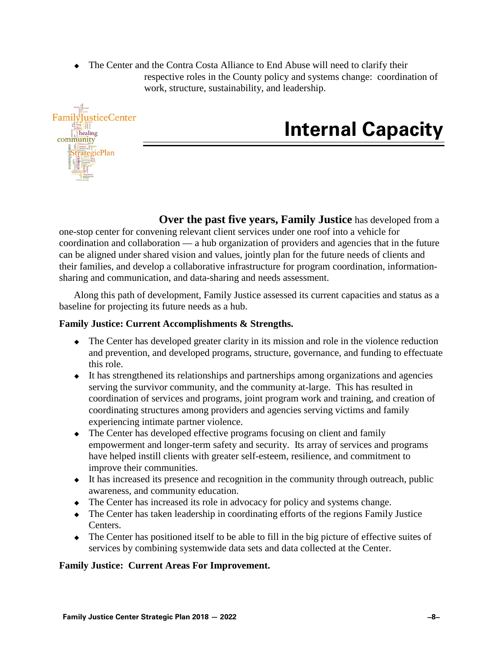The Center and the Contra Costa Alliance to End Abuse will need to clarify their respective roles in the County policy and systems change: coordination of work, structure, sustainability, and leadership.



## **Internal Capacity**

**Over the past five years, Family Justice** has developed from a one-stop center for convening relevant client services under one roof into a vehicle for coordination and collaboration — a hub organization of providers and agencies that in the future can be aligned under shared vision and values, jointly plan for the future needs of clients and their families, and develop a collaborative infrastructure for program coordination, informationsharing and communication, and data-sharing and needs assessment.

Along this path of development, Family Justice assessed its current capacities and status as a baseline for projecting its future needs as a hub.

#### **Family Justice: Current Accomplishments & Strengths.**

- The Center has developed greater clarity in its mission and role in the violence reduction and prevention, and developed programs, structure, governance, and funding to effectuate this role.
- $\bullet$  It has strengthened its relationships and partnerships among organizations and agencies serving the survivor community, and the community at-large. This has resulted in coordination of services and programs, joint program work and training, and creation of coordinating structures among providers and agencies serving victims and family experiencing intimate partner violence.
- The Center has developed effective programs focusing on client and family empowerment and longer-term safety and security. Its array of services and programs have helped instill clients with greater self-esteem, resilience, and commitment to improve their communities.
- $\bullet$  It has increased its presence and recognition in the community through outreach, public awareness, and community education.
- The Center has increased its role in advocacy for policy and systems change.
- The Center has taken leadership in coordinating efforts of the regions Family Justice Centers.
- The Center has positioned itself to be able to fill in the big picture of effective suites of services by combining systemwide data sets and data collected at the Center.

#### **Family Justice: Current Areas For Improvement.**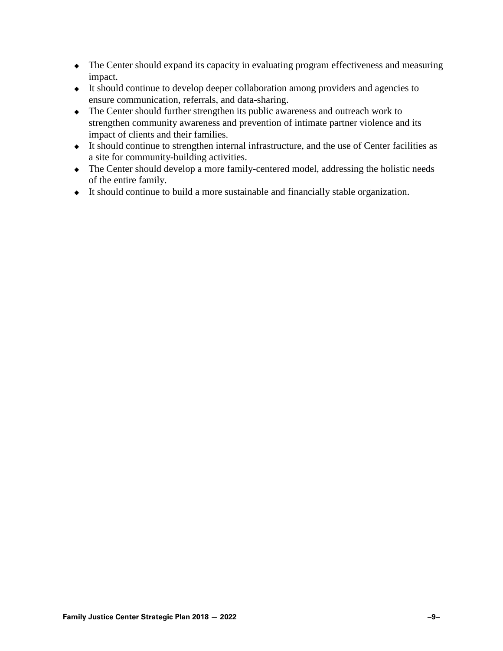- The Center should expand its capacity in evaluating program effectiveness and measuring impact.
- It should continue to develop deeper collaboration among providers and agencies to ensure communication, referrals, and data-sharing.
- The Center should further strengthen its public awareness and outreach work to strengthen community awareness and prevention of intimate partner violence and its impact of clients and their families.
- It should continue to strengthen internal infrastructure, and the use of Center facilities as a site for community-building activities.
- The Center should develop a more family-centered model, addressing the holistic needs of the entire family.
- It should continue to build a more sustainable and financially stable organization.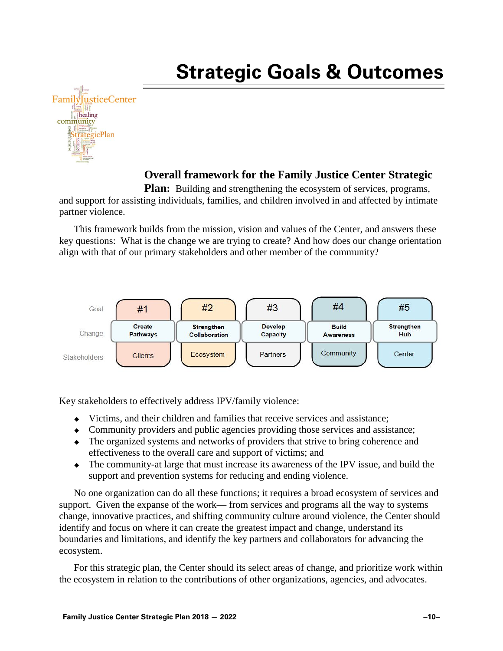## **Strategic Goals & Outcomes**



#### **Overall framework for the Family Justice Center Strategic**

**Plan:** Building and strengthening the ecosystem of services, programs, and support for assisting individuals, families, and children involved in and affected by intimate partner violence.

This framework builds from the mission, vision and values of the Center, and answers these key questions: What is the change we are trying to create? And how does our change orientation align with that of our primary stakeholders and other member of the community?



Key stakeholders to effectively address IPV/family violence:

- $\bullet$  Victims, and their children and families that receive services and assistance:
- Community providers and public agencies providing those services and assistance;
- The organized systems and networks of providers that strive to bring coherence and effectiveness to the overall care and support of victims; and
- The community-at large that must increase its awareness of the IPV issue, and build the support and prevention systems for reducing and ending violence.

No one organization can do all these functions; it requires a broad ecosystem of services and support. Given the expanse of the work— from services and programs all the way to systems change, innovative practices, and shifting community culture around violence, the Center should identify and focus on where it can create the greatest impact and change, understand its boundaries and limitations, and identify the key partners and collaborators for advancing the ecosystem.

For this strategic plan, the Center should its select areas of change, and prioritize work within the ecosystem in relation to the contributions of other organizations, agencies, and advocates.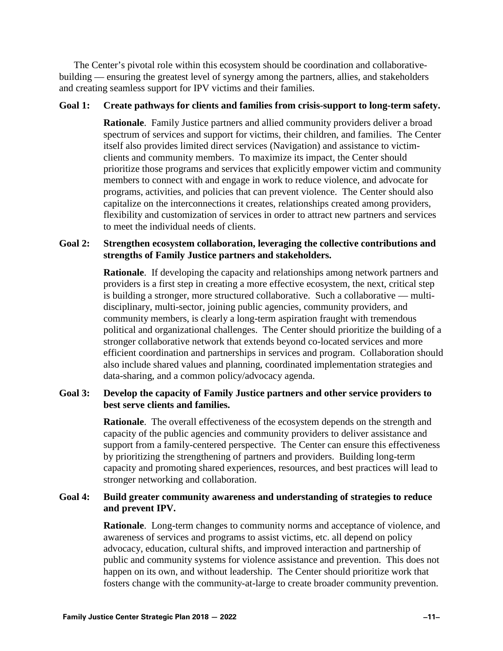The Center's pivotal role within this ecosystem should be coordination and collaborativebuilding — ensuring the greatest level of synergy among the partners, allies, and stakeholders and creating seamless support for IPV victims and their families.

#### **Goal 1: Create pathways for clients and families from crisis-support to long-term safety.**

**Rationale**. Family Justice partners and allied community providers deliver a broad spectrum of services and support for victims, their children, and families. The Center itself also provides limited direct services (Navigation) and assistance to victimclients and community members. To maximize its impact, the Center should prioritize those programs and services that explicitly empower victim and community members to connect with and engage in work to reduce violence, and advocate for programs, activities, and policies that can prevent violence. The Center should also capitalize on the interconnections it creates, relationships created among providers, flexibility and customization of services in order to attract new partners and services to meet the individual needs of clients.

#### **Goal 2: Strengthen ecosystem collaboration, leveraging the collective contributions and strengths of Family Justice partners and stakeholders.**

**Rationale**. If developing the capacity and relationships among network partners and providers is a first step in creating a more effective ecosystem, the next, critical step is building a stronger, more structured collaborative. Such a collaborative — multidisciplinary, multi-sector, joining public agencies, community providers, and community members, is clearly a long-term aspiration fraught with tremendous political and organizational challenges. The Center should prioritize the building of a stronger collaborative network that extends beyond co-located services and more efficient coordination and partnerships in services and program. Collaboration should also include shared values and planning, coordinated implementation strategies and data-sharing, and a common policy/advocacy agenda.

#### **Goal 3: Develop the capacity of Family Justice partners and other service providers to best serve clients and families.**

**Rationale**. The overall effectiveness of the ecosystem depends on the strength and capacity of the public agencies and community providers to deliver assistance and support from a family-centered perspective. The Center can ensure this effectiveness by prioritizing the strengthening of partners and providers. Building long-term capacity and promoting shared experiences, resources, and best practices will lead to stronger networking and collaboration.

#### **Goal 4: Build greater community awareness and understanding of strategies to reduce and prevent IPV.**

**Rationale**. Long-term changes to community norms and acceptance of violence, and awareness of services and programs to assist victims, etc. all depend on policy advocacy, education, cultural shifts, and improved interaction and partnership of public and community systems for violence assistance and prevention. This does not happen on its own, and without leadership. The Center should prioritize work that fosters change with the community-at-large to create broader community prevention.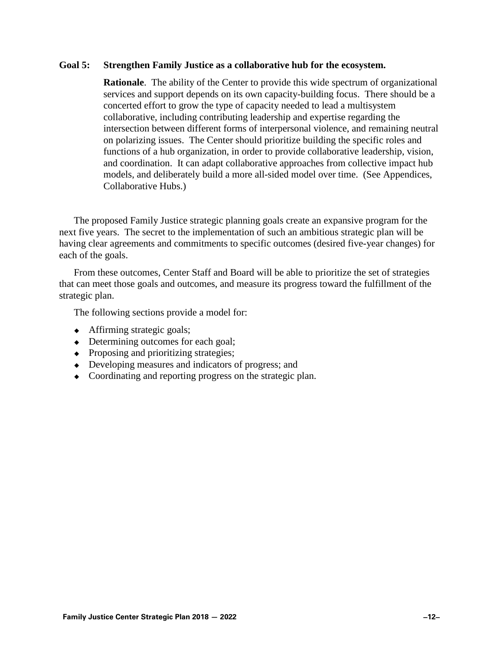#### **Goal 5: Strengthen Family Justice as a collaborative hub for the ecosystem.**

**Rationale**. The ability of the Center to provide this wide spectrum of organizational services and support depends on its own capacity-building focus. There should be a concerted effort to grow the type of capacity needed to lead a multisystem collaborative, including contributing leadership and expertise regarding the intersection between different forms of interpersonal violence, and remaining neutral on polarizing issues. The Center should prioritize building the specific roles and functions of a hub organization, in order to provide collaborative leadership, vision, and coordination. It can adapt collaborative approaches from collective impact hub models, and deliberately build a more all-sided model over time. (See Appendices, Collaborative Hubs.)

The proposed Family Justice strategic planning goals create an expansive program for the next five years. The secret to the implementation of such an ambitious strategic plan will be having clear agreements and commitments to specific outcomes (desired five-year changes) for each of the goals.

From these outcomes, Center Staff and Board will be able to prioritize the set of strategies that can meet those goals and outcomes, and measure its progress toward the fulfillment of the strategic plan.

The following sections provide a model for:

- Affirming strategic goals;
- Determining outcomes for each goal;
- Proposing and prioritizing strategies;
- Developing measures and indicators of progress; and
- Coordinating and reporting progress on the strategic plan.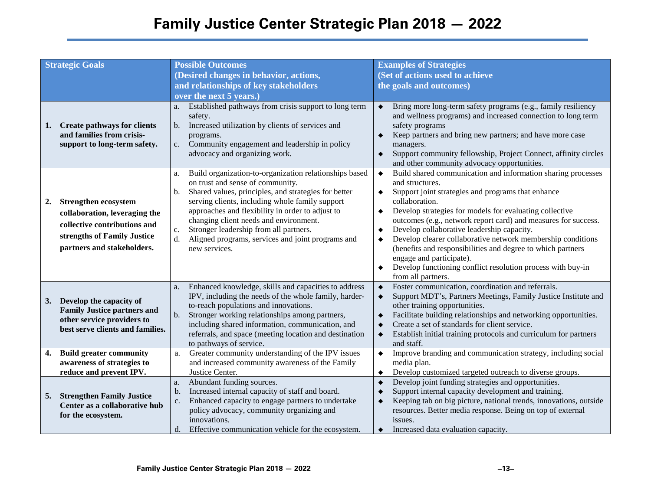### **Family Justice Center Strategic Plan 2018 — 2022**

| <b>Strategic Goals</b> |                                                                                                                                                                   | <b>Possible Outcomes</b>                                                                                                                                                                                                                                                                                                                                                                                                                                | <b>Examples of Strategies</b>                                                                                                                                                                                                                                                                                                                                                                                                                                                                                                                                                                                                       |
|------------------------|-------------------------------------------------------------------------------------------------------------------------------------------------------------------|---------------------------------------------------------------------------------------------------------------------------------------------------------------------------------------------------------------------------------------------------------------------------------------------------------------------------------------------------------------------------------------------------------------------------------------------------------|-------------------------------------------------------------------------------------------------------------------------------------------------------------------------------------------------------------------------------------------------------------------------------------------------------------------------------------------------------------------------------------------------------------------------------------------------------------------------------------------------------------------------------------------------------------------------------------------------------------------------------------|
|                        |                                                                                                                                                                   | (Desired changes in behavior, actions,                                                                                                                                                                                                                                                                                                                                                                                                                  | (Set of actions used to achieve                                                                                                                                                                                                                                                                                                                                                                                                                                                                                                                                                                                                     |
|                        |                                                                                                                                                                   | and relationships of key stakeholders                                                                                                                                                                                                                                                                                                                                                                                                                   | the goals and outcomes)                                                                                                                                                                                                                                                                                                                                                                                                                                                                                                                                                                                                             |
|                        |                                                                                                                                                                   | over the next 5 years.)                                                                                                                                                                                                                                                                                                                                                                                                                                 |                                                                                                                                                                                                                                                                                                                                                                                                                                                                                                                                                                                                                                     |
| 1.                     | <b>Create pathways for clients</b><br>and families from crisis-<br>support to long-term safety.                                                                   | Established pathways from crisis support to long term<br>a.<br>safety.<br>Increased utilization by clients of services and<br>b.<br>programs.<br>Community engagement and leadership in policy<br>$c_{\cdot}$<br>advocacy and organizing work.                                                                                                                                                                                                          | Bring more long-term safety programs (e.g., family resiliency<br>$\bullet$<br>and wellness programs) and increased connection to long term<br>safety programs<br>Keep partners and bring new partners; and have more case<br>$\bullet$<br>managers.<br>Support community fellowship, Project Connect, affinity circles<br>$\bullet$<br>and other community advocacy opportunities.                                                                                                                                                                                                                                                  |
| 2.                     | <b>Strengthen ecosystem</b><br>collaboration, leveraging the<br>collective contributions and<br>strengths of Family Justice<br>partners and stakeholders.         | Build organization-to-organization relationships based<br>a.<br>on trust and sense of community.<br>Shared values, principles, and strategies for better<br>b.<br>serving clients, including whole family support<br>approaches and flexibility in order to adjust to<br>changing client needs and environment.<br>Stronger leadership from all partners.<br>$\mathbf{c}$ .<br>Aligned programs, services and joint programs and<br>d.<br>new services. | Build shared communication and information sharing processes<br>$\blacklozenge$<br>and structures.<br>Support joint strategies and programs that enhance<br>٠<br>collaboration.<br>Develop strategies for models for evaluating collective<br>$\bullet$<br>outcomes (e.g., network report card) and measures for success.<br>Develop collaborative leadership capacity.<br>$\bullet$<br>Develop clearer collaborative network membership conditions<br>(benefits and responsibilities and degree to which partners<br>engage and participate).<br>Develop functioning conflict resolution process with buy-in<br>from all partners. |
| 3.<br>4.               | Develop the capacity of<br><b>Family Justice partners and</b><br>other service providers to<br>best serve clients and families.<br><b>Build greater community</b> | Enhanced knowledge, skills and capacities to address<br>a.<br>IPV, including the needs of the whole family, harder-<br>to-reach populations and innovations.<br>Stronger working relationships among partners,<br>b.<br>including shared information, communication, and<br>referrals, and space (meeting location and destination<br>to pathways of service.<br>Greater community understanding of the IPV issues                                      | Foster communication, coordination and referrals.<br>$\bullet$<br>Support MDT's, Partners Meetings, Family Justice Institute and<br>$\bullet$<br>other training opportunities.<br>Facilitate building relationships and networking opportunities.<br>$\blacklozenge$<br>Create a set of standards for client service.<br>٠<br>Establish initial training protocols and curriculum for partners<br>$\bullet$<br>and staff.<br>Improve branding and communication strategy, including social<br>$\blacklozenge$                                                                                                                       |
|                        | awareness of strategies to                                                                                                                                        | a.                                                                                                                                                                                                                                                                                                                                                                                                                                                      |                                                                                                                                                                                                                                                                                                                                                                                                                                                                                                                                                                                                                                     |
|                        | reduce and prevent IPV.                                                                                                                                           | and increased community awareness of the Family<br>Justice Center.                                                                                                                                                                                                                                                                                                                                                                                      | media plan.<br>Develop customized targeted outreach to diverse groups.<br>$\bullet$                                                                                                                                                                                                                                                                                                                                                                                                                                                                                                                                                 |
| 5.                     | <b>Strengthen Family Justice</b><br>Center as a collaborative hub<br>for the ecosystem.                                                                           | Abundant funding sources.<br>a.<br>Increased internal capacity of staff and board.<br>b.<br>Enhanced capacity to engage partners to undertake<br>c.<br>policy advocacy, community organizing and<br>innovations.<br>Effective communication vehicle for the ecosystem.<br>d.                                                                                                                                                                            | Develop joint funding strategies and opportunities.<br>$\bullet$<br>Support internal capacity development and training.<br>$\bullet$<br>Keeping tab on big picture, national trends, innovations, outside<br>$\bullet$<br>resources. Better media response. Being on top of external<br>issues.<br>Increased data evaluation capacity.                                                                                                                                                                                                                                                                                              |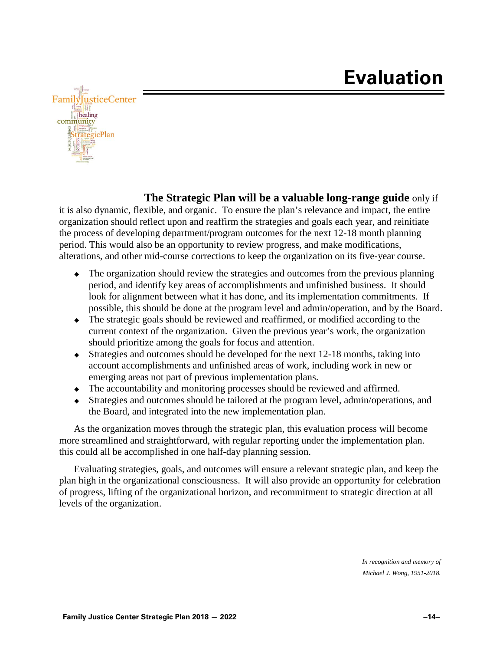

**The Strategic Plan will be a valuable long-range guide** only if

it is also dynamic, flexible, and organic. To ensure the plan's relevance and impact, the entire organization should reflect upon and reaffirm the strategies and goals each year, and reinitiate the process of developing department/program outcomes for the next 12-18 month planning period. This would also be an opportunity to review progress, and make modifications, alterations, and other mid-course corrections to keep the organization on its five-year course.

- The organization should review the strategies and outcomes from the previous planning period, and identify key areas of accomplishments and unfinished business. It should look for alignment between what it has done, and its implementation commitments. If possible, this should be done at the program level and admin/operation, and by the Board.
- The strategic goals should be reviewed and reaffirmed, or modified according to the current context of the organization. Given the previous year's work, the organization should prioritize among the goals for focus and attention.
- $\bullet$  Strategies and outcomes should be developed for the next 12-18 months, taking into account accomplishments and unfinished areas of work, including work in new or emerging areas not part of previous implementation plans.
- The accountability and monitoring processes should be reviewed and affirmed.
- Strategies and outcomes should be tailored at the program level, admin/operations, and the Board, and integrated into the new implementation plan.

As the organization moves through the strategic plan, this evaluation process will become more streamlined and straightforward, with regular reporting under the implementation plan. this could all be accomplished in one half-day planning session.

Evaluating strategies, goals, and outcomes will ensure a relevant strategic plan, and keep the plan high in the organizational consciousness. It will also provide an opportunity for celebration of progress, lifting of the organizational horizon, and recommitment to strategic direction at all levels of the organization.

> *In recognition and memory of Michael J. Wong, 1951-2018.*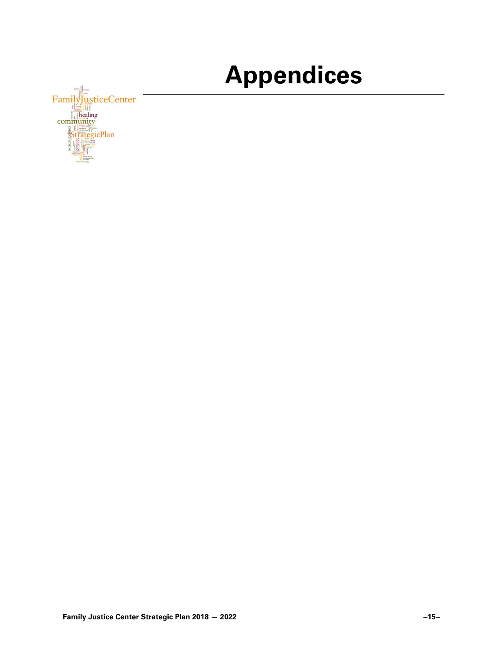# **Appendices**

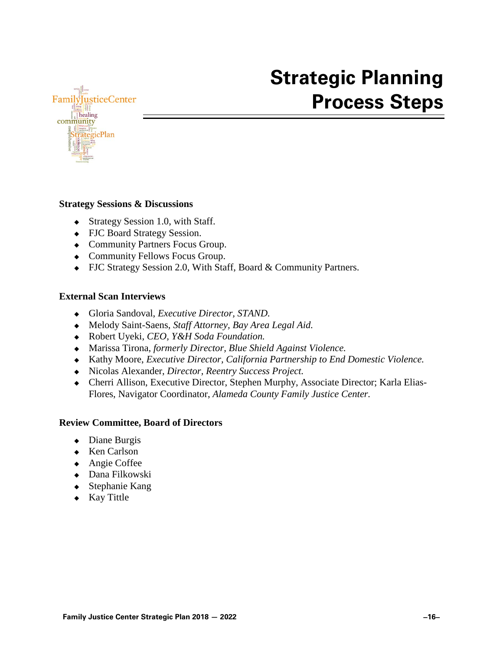

## **Strategic Planning Process Steps**

#### **Strategy Sessions & Discussions**

- Strategy Session 1.0, with Staff.
- FJC Board Strategy Session.
- Community Partners Focus Group.
- Community Fellows Focus Group.
- FJC Strategy Session 2.0, With Staff, Board & Community Partners.

#### **External Scan Interviews**

- Gloria Sandoval, *Executive Director, STAND.*
- Melody Saint-Saens, *Staff Attorney, Bay Area Legal Aid.*
- Robert Uyeki, *CEO, Y&H Soda Foundation.*
- Marissa Tirona, *formerly Director, Blue Shield Against Violence.*
- Kathy Moore, *Executive Director, California Partnership to End Domestic Violence.*
- Nicolas Alexander, *Director, Reentry Success Project.*
- Cherri Allison, Executive Director, Stephen Murphy, Associate Director; Karla Elias-Flores, Navigator Coordinator, *Alameda County Family Justice Center.*

#### **Review Committee, Board of Directors**

- Diane Burgis
- ◆ Ken Carlson
- ◆ Angie Coffee
- Dana Filkowski
- Stephanie Kang
- $\bullet$  Kay Tittle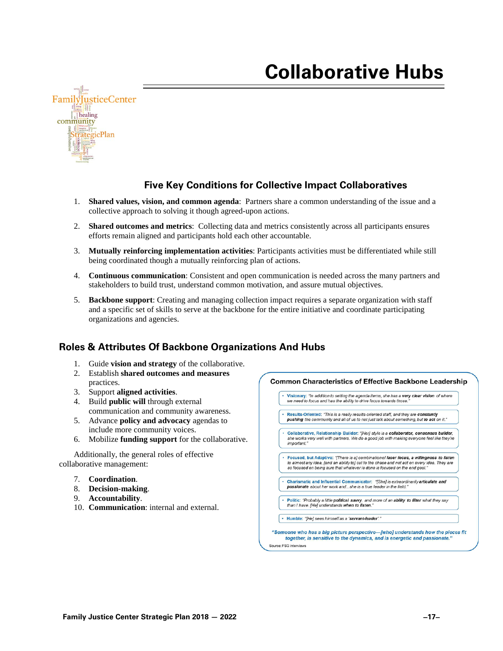## **Collaborative Hubs**



#### **Five Key Conditions for Collective Impact Collaboratives**

- 1. **Shared values, vision, and common agenda**: Partners share a common understanding of the issue and a collective approach to solving it though agreed-upon actions.
- 2. **Shared outcomes and metrics**: Collecting data and metrics consistently across all participants ensures efforts remain aligned and participants hold each other accountable.
- 3. **Mutually reinforcing implementation activities**: Participants activities must be differentiated while still being coordinated though a mutually reinforcing plan of actions.
- 4. **Continuous communication**: Consistent and open communication is needed across the many partners and stakeholders to build trust, understand common motivation, and assure mutual objectives.
- 5. **Backbone support**: Creating and managing collection impact requires a separate organization with staff and a specific set of skills to serve at the backbone for the entire initiative and coordinate participating organizations and agencies.

#### **Roles & Attributes Of Backbone Organizations And Hubs**

- 1. Guide **vision and strategy** of the collaborative.
- 2. Establish **shared outcomes and measures** practices.
- 3. Support **aligned activities**.
- 4. Build **public will** through external communication and community awareness.
- 5. Advance **policy and advocacy** agendas to include more community voices.
- 6. Mobilize **funding support** for the collaborative.

Additionally, the general roles of effective collaborative management:

- 7. **Coordination**.
- 8. **Decision-making**.
- 9. **Accountability**.
- 10. **Communication**: internal and external.